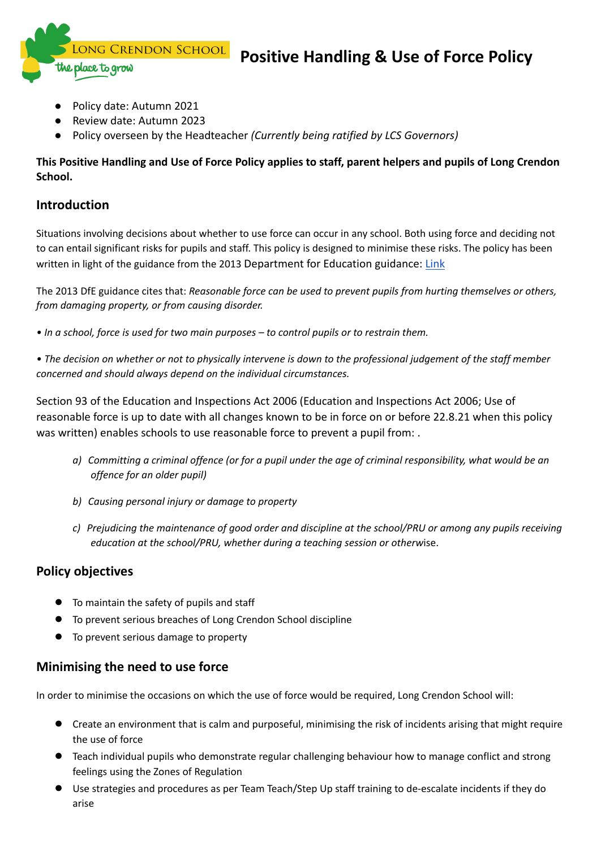LONG CRENDON SCHOOL

# **Positive Handling & Use of Force Policy**

Policy date: Autumn 2021

place to grow

- Review date: Autumn 2023
- Policy overseen by the Headteacher *(Currently being ratified by LCS Governors)*

#### **This Positive Handling and Use of Force Policy applies to staff, parent helpers and pupils of Long Crendon School.**

### **Introduction**

Situations involving decisions about whether to use force can occur in any school. Both using force and deciding not to can entail significant risks for pupils and staff. This policy is designed to minimise these risks. The policy has been written in light of the guidance from the 2013 Department for Education guidance: [Link](https://www.gov.uk/government/publications/use-of-reasonable-force-in-schools)

The 2013 DfE guidance cites that: *Reasonable force can be used to prevent pupils from hurting themselves or others, from damaging property, or from causing disorder.*

- *• In a school, force is used for two main purposes – to control pupils or to restrain them.*
- The decision on whether or not to physically intervene is down to the professional judgement of the staff member *concerned and should always depend on the individual circumstances.*

Section 93 of the Education and Inspections Act 2006 (Education and Inspections Act 2006; Use of reasonable force is up to date with all changes known to be in force on or before 22.8.21 when this policy was written) enables schools to use reasonable force to prevent a pupil from: .

- a) Committing a criminal offence (or for a pupil under the age of criminal responsibility, what would be an *offence for an older pupil)*
- *b) Causing personal injury or damage to property*
- c) Prejudicing the maintenance of good order and discipline at the school/PRU or among any pupils receiving *education at the school/PRU, whether during a teaching session or otherw*ise.

## **Policy objectives**

- To maintain the safety of pupils and staff
- To prevent serious breaches of Long Crendon School discipline
- To prevent serious damage to property

## **Minimising the need to use force**

In order to minimise the occasions on which the use of force would be required, Long Crendon School will:

- Create an environment that is calm and purposeful, minimising the risk of incidents arising that might require the use of force
- Teach individual pupils who demonstrate regular challenging behaviour how to manage conflict and strong feelings using the Zones of Regulation
- Use strategies and procedures as per Team Teach/Step Up staff training to de-escalate incidents if they do arise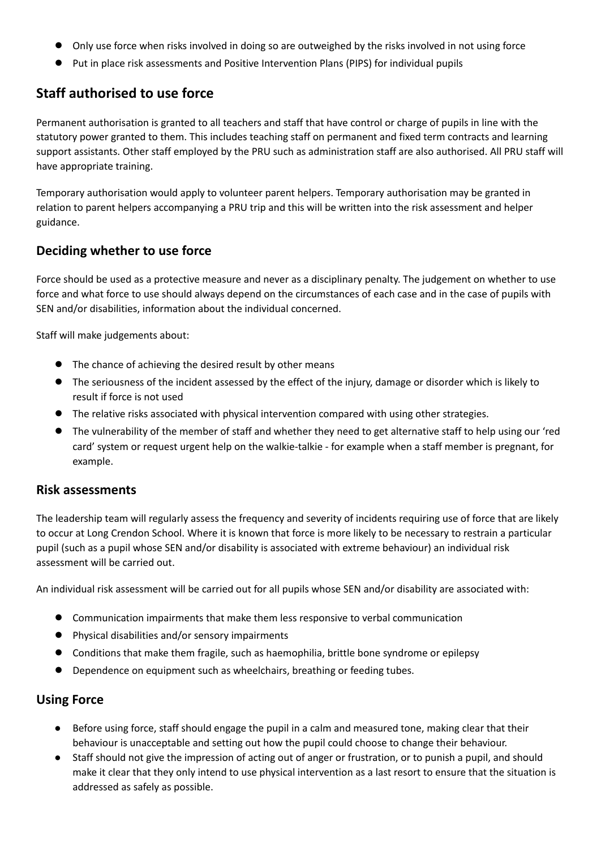- Only use force when risks involved in doing so are outweighed by the risks involved in not using force
- Put in place risk assessments and Positive Intervention Plans (PIPS) for individual pupils

## **Staff authorised to use force**

Permanent authorisation is granted to all teachers and staff that have control or charge of pupils in line with the statutory power granted to them. This includes teaching staff on permanent and fixed term contracts and learning support assistants. Other staff employed by the PRU such as administration staff are also authorised. All PRU staff will have appropriate training.

Temporary authorisation would apply to volunteer parent helpers. Temporary authorisation may be granted in relation to parent helpers accompanying a PRU trip and this will be written into the risk assessment and helper guidance.

#### **Deciding whether to use force**

Force should be used as a protective measure and never as a disciplinary penalty. The judgement on whether to use force and what force to use should always depend on the circumstances of each case and in the case of pupils with SEN and/or disabilities, information about the individual concerned.

Staff will make judgements about:

- The chance of achieving the desired result by other means
- The seriousness of the incident assessed by the effect of the injury, damage or disorder which is likely to result if force is not used
- The relative risks associated with physical intervention compared with using other strategies.
- The vulnerability of the member of staff and whether they need to get alternative staff to help using our 'red card' system or request urgent help on the walkie-talkie - for example when a staff member is pregnant, for example.

#### **Risk assessments**

The leadership team will regularly assess the frequency and severity of incidents requiring use of force that are likely to occur at Long Crendon School. Where it is known that force is more likely to be necessary to restrain a particular pupil (such as a pupil whose SEN and/or disability is associated with extreme behaviour) an individual risk assessment will be carried out.

An individual risk assessment will be carried out for all pupils whose SEN and/or disability are associated with:

- Communication impairments that make them less responsive to verbal communication
- Physical disabilities and/or sensory impairments
- Conditions that make them fragile, such as haemophilia, brittle bone syndrome or epilepsy
- Dependence on equipment such as wheelchairs, breathing or feeding tubes.

#### **Using Force**

- Before using force, staff should engage the pupil in a calm and measured tone, making clear that their behaviour is unacceptable and setting out how the pupil could choose to change their behaviour.
- Staff should not give the impression of acting out of anger or frustration, or to punish a pupil, and should make it clear that they only intend to use physical intervention as a last resort to ensure that the situation is addressed as safely as possible.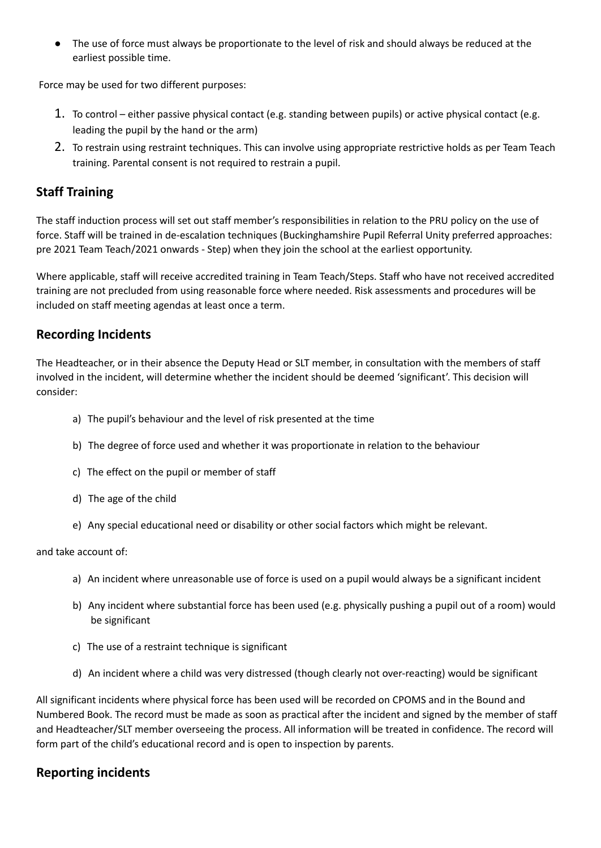● The use of force must always be proportionate to the level of risk and should always be reduced at the earliest possible time.

Force may be used for two different purposes:

- 1. To control either passive physical contact (e.g. standing between pupils) or active physical contact (e.g. leading the pupil by the hand or the arm)
- 2. To restrain using restraint techniques. This can involve using appropriate restrictive holds as per Team Teach training. Parental consent is not required to restrain a pupil.

## **Staff Training**

The staff induction process will set out staff member's responsibilities in relation to the PRU policy on the use of force. Staff will be trained in de-escalation techniques (Buckinghamshire Pupil Referral Unity preferred approaches: pre 2021 Team Teach/2021 onwards - Step) when they join the school at the earliest opportunity.

Where applicable, staff will receive accredited training in Team Teach/Steps. Staff who have not received accredited training are not precluded from using reasonable force where needed. Risk assessments and procedures will be included on staff meeting agendas at least once a term.

#### **Recording Incidents**

The Headteacher, or in their absence the Deputy Head or SLT member, in consultation with the members of staff involved in the incident, will determine whether the incident should be deemed 'significant'. This decision will consider:

- a) The pupil's behaviour and the level of risk presented at the time
- b) The degree of force used and whether it was proportionate in relation to the behaviour
- c) The effect on the pupil or member of staff
- d) The age of the child
- e) Any special educational need or disability or other social factors which might be relevant.

#### and take account of:

- a) An incident where unreasonable use of force is used on a pupil would always be a significant incident
- b) Any incident where substantial force has been used (e.g. physically pushing a pupil out of a room) would be significant
- c) The use of a restraint technique is significant
- d) An incident where a child was very distressed (though clearly not over-reacting) would be significant

All significant incidents where physical force has been used will be recorded on CPOMS and in the Bound and Numbered Book. The record must be made as soon as practical after the incident and signed by the member of staff and Headteacher/SLT member overseeing the process. All information will be treated in confidence. The record will form part of the child's educational record and is open to inspection by parents.

## **Reporting incidents**